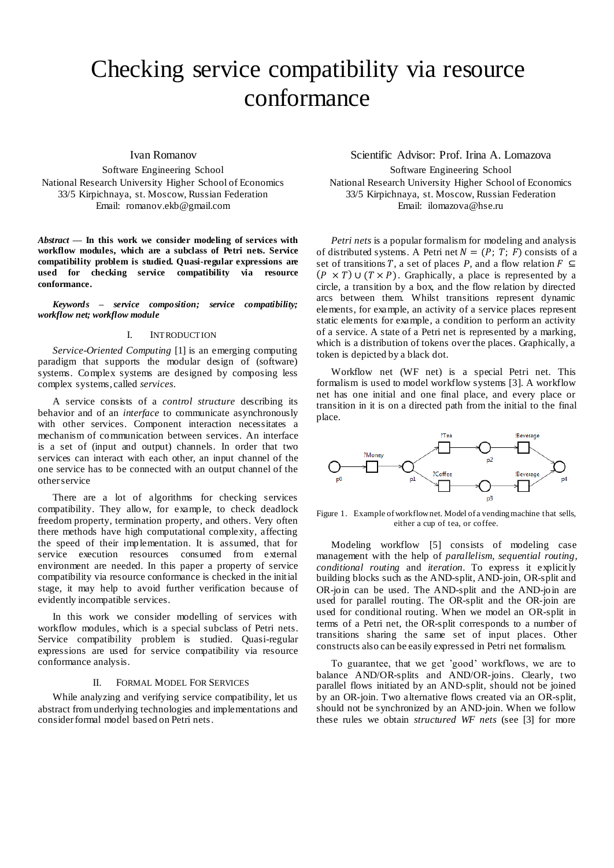# Checking service compatibility via resource conformance

## Ivan Romanov

Software Engineering School National Research University Higher School of Economics 33/5 Kirpichnaya, st. Moscow, Russian Federation Email: romanov.ekb@gmail.com

*Abstract* **— In this work we consider modeling of services with workflow modules, which are a subclass of Petri nets. Service compatibility problem is studied. Quasi-regular expressions are used for checking service compatibility via resource conformance.**

*Keywords – service composition; service compatibility; workflow net; workflow module*

## I. INTRODUCTION

*Service-Oriented Computing* [1] is an emerging computing paradigm that supports the modular design of (software) systems. Complex systems are designed by composing less complex systems, called *services*.

A service consists of a *control structure* describing its behavior and of an *interface* to communicate asynchronously with other services. Component interaction necessitates a mechanism of communication between services. An interface is a set of (input and output) channels. In order that two services can interact with each other, an input channel of the one service has to be connected with an output channel of the other service

There are a lot of algorithms for checking services compatibility. They allow, for example, to check deadlock freedom property, termination property, and others. Very often there methods have high computational complexity, affecting the speed of their implementation. It is assumed, that for service execution resources consumed from external environment are needed. In this paper a property of service compatibility via resource conformance is checked in the initial stage, it may help to avoid further verification because of evidently incompatible services.

In this work we consider modelling of services with workflow modules, which is a special subclass of Petri nets. Service compatibility problem is studied. Quasi-regular expressions are used for service compatibility via resource conformance analysis.

### II. FORMAL MODEL FOR SERVICES

While analyzing and verifying service compatibility, let us abstract from underlying technologies and implementations and consider formal model based on Petri nets.

# Scientific Advisor: Prof. Irina A. Lomazova Software Engineering School National Research University Higher School of Economics 33/5 Kirpichnaya, st. Moscow, Russian Federation

Email: ilomazova@hse.ru

*Petri nets* is a popular formalism for modeling and analysis of distributed systems. A Petri net  $N = (P; T; F)$  consists of a set of transitions T, a set of places P, and a flow relation  $F \subseteq$  $(P \times T) \cup (T \times P)$ . Graphically, a place is represented by a circle, a transition by a box, and the flow relation by directed arcs between them. Whilst transitions represent dynamic elements, for example, an activity of a service places represent static elements for example, a condition to perform an activity of a service. A state of a Petri net is represented by a marking, which is a distribution of tokens over the places. Graphically, a token is depicted by a black dot.

Workflow net (WF net) is a special Petri net. This formalism is used to model workflow systems [3]. A workflow net has one initial and one final place, and every place or transition in it is on a directed path from the initial to the final place.



Figure 1. Example of workflownet. Model of a vending machine that sells, either a cup of tea, or coffee.

Modeling workflow [5] consists of modeling case management with the help of *parallelism*, *sequential routing*, *conditional routing* and *iteration*. To express it explicitly building blocks such as the AND-split, AND-join, OR-split and OR-join can be used. The AND-split and the AND-join are used for parallel routing. The OR-split and the OR-join are used for conditional routing. When we model an OR-split in terms of a Petri net, the OR-split corresponds to a number of transitions sharing the same set of input places. Other constructs also can be easily expressed in Petri net formalism.

To guarantee, that we get 'good' workflows, we are to balance AND/OR-splits and AND/OR-joins. Clearly, two parallel flows initiated by an AND-split, should not be joined by an OR-join. Two alternative flows created via an OR-split, should not be synchronized by an AND-join. When we follow these rules we obtain *structured WF nets* (see [3] for more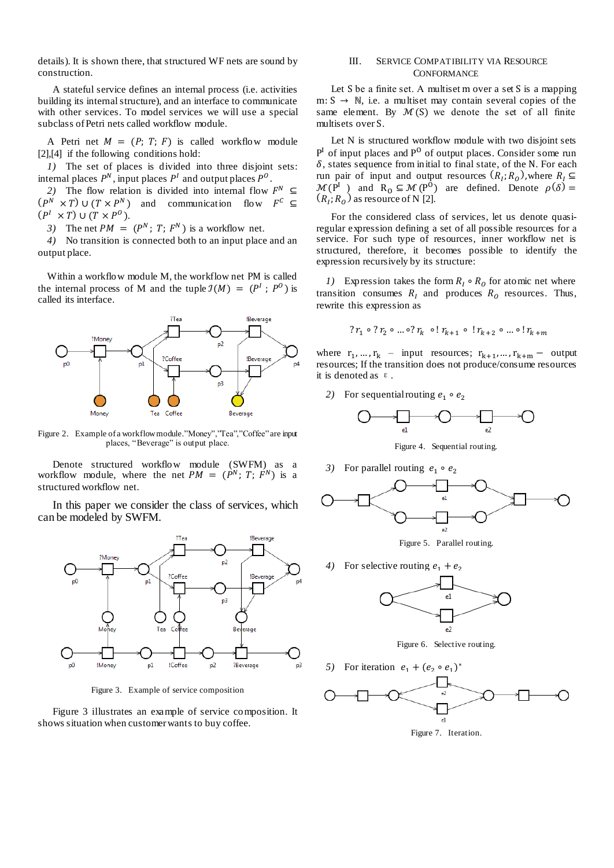details). It is shown there, that structured WF nets are sound by construction.

A stateful service defines an internal process (i.e. activities building its internal structure), and an interface to communicate with other services. To model services we will use a special subclass of Petri nets called workflow module.

A Petri net  $M = (P; T; F)$  is called workflow module [2], [4] if the following conditions hold:

*1)* The set of places is divided into three disjoint sets: internal places  $P^N$ , input places  $P^I$  and output places  $P^O$ .

2) The flow relation is divided into internal flow  $F<sup>N</sup>$  $(P^N \times T) \cup (T \times P^N)$  and communication flow  $F^C$  $(P^I \times T) \cup (T \times P^O)$ .

3) The net  $PM = (P^N; T; F^N)$  is a workflow net.

*4)* No transition is connected both to an input place and an output place.

Within a workflow module M, the workflow net PM is called the internal process of M and the tuple  $\mathcal{I}(M) = (P^I; P^O)$  is called its interface.



Figure 2. Example of a workflow module."Money","Tea","Coffee" are input places, "Beverage" is output place.

Denote structured workflow module (SWFM) as a workflow module, where the net  $PM = (P^N; T; F^N)$  is a structured workflow net.

In this paper we consider the class of services, which can be modeled by SWFM.



Figure 3. Example of service composition

Figure 3 illustrates an example of service composition. It shows situation when customer wants to buy coffee.

## III. SERVICE COMPATIBILITY VIA RESOURCE **CONFORMANCE**

Let S be a finite set. A multiset m over a set S is a mapping  $m: S \rightarrow \mathbb{N}$ , i.e. a multiset may contain several copies of the same element. By  $M(S)$  we denote the set of all finite multisets over S.

Let N is structured workflow module with two disjoint sets  $P<sup>I</sup>$  of input places and  $P<sup>O</sup>$  of output places. Consider some run  $\delta$ , states sequence from initial to final state, of the N. For each run pair of input and output resources  $(R<sub>1</sub>; R<sub>0</sub>)$ , where R  $\mathcal{M}(\mathbb{P}^1)$  and  $\mathbb{R}_0 \subseteq \mathcal{M}(\mathbb{P}^0)$  are defined. Denote  $\rho$  $(R_1; R_0)$  as resource of N [2].

For the considered class of services, let us denote quasiregular expression defining a set of all possible resources for a service. For such type of resources, inner workflow net is structured, therefore, it becomes possible to identify the expression recursively by its structure:

*1*) Expression takes the form  $R_1 \circ R_0$  for atomic net where transition consumes  $R_t$  and produces  $R_0$  resources. Thus, rewrite this expression as

$$
?r_1 \circ ?r_2 \circ ... \circ ?r_k \circ !r_{k+1} \circ !r_{k+2} \circ ... \circ !r_{k+m}
$$

where  $r_1, ..., r_k$  – input resources;  $r_{k+1}, ..., r_{k+m}$  – output resources; If the transition does not produce/consume resources it is denoted as  $\varepsilon$ .

2) For sequential routing  $e_1$ 



Figure 4. Sequential routing.

3) For parallel routing  $e_1$ 



Figure 5. Parallel routing.

4) For selective routing  $e_1 + e_2$ 



Figure 6. Selective routing.

*5*) For iteration  $e_1 + (e_2 \circ e_1)^*$ 



Figure 7. Iteration.